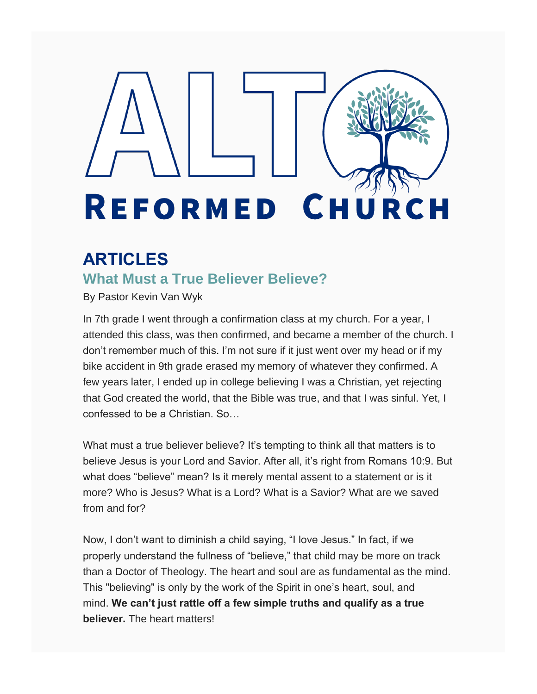# **REFORMED CH** URCH

## **ARTICLES**

## **What Must a True Believer Believe?**

By Pastor Kevin Van Wyk

In 7th grade I went through a confirmation class at my church. For a year, I attended this class, was then confirmed, and became a member of the church. I don't remember much of this. I'm not sure if it just went over my head or if my bike accident in 9th grade erased my memory of whatever they confirmed. A few years later, I ended up in college believing I was a Christian, yet rejecting that God created the world, that the Bible was true, and that I was sinful. Yet, I confessed to be a Christian. So…

What must a true believer believe? It's tempting to think all that matters is to believe Jesus is your Lord and Savior. After all, it's right from Romans 10:9. But what does "believe" mean? Is it merely mental assent to a statement or is it more? Who is Jesus? What is a Lord? What is a Savior? What are we saved from and for?

Now, I don't want to diminish a child saying, "I love Jesus." In fact, if we properly understand the fullness of "believe," that child may be more on track than a Doctor of Theology. The heart and soul are as fundamental as the mind. This "believing" is only by the work of the Spirit in one's heart, soul, and mind. **We can't just rattle off a few simple truths and qualify as a true believer.** The heart matters!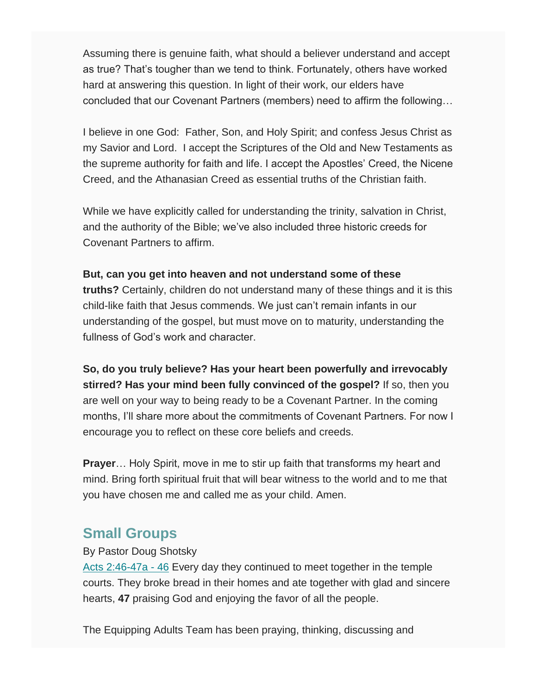Assuming there is genuine faith, what should a believer understand and accept as true? That's tougher than we tend to think. Fortunately, others have worked hard at answering this question. In light of their work, our elders have concluded that our Covenant Partners (members) need to affirm the following…

I believe in one God: Father, Son, and Holy Spirit; and confess Jesus Christ as my Savior and Lord. I accept the Scriptures of the Old and New Testaments as the supreme authority for faith and life. I accept the Apostles' Creed, the Nicene Creed, and the Athanasian Creed as essential truths of the Christian faith.

While we have explicitly called for understanding the trinity, salvation in Christ, and the authority of the Bible; we've also included three historic creeds for Covenant Partners to affirm.

#### **But, can you get into heaven and not understand some of these**

**truths?** Certainly, children do not understand many of these things and it is this child-like faith that Jesus commends. We just can't remain infants in our understanding of the gospel, but must move on to maturity, understanding the fullness of God's work and character.

**So, do you truly believe? Has your heart been powerfully and irrevocably stirred? Has your mind been fully convinced of the gospel?** If so, then you are well on your way to being ready to be a Covenant Partner. In the coming months, I'll share more about the commitments of Covenant Partners. For now I encourage you to reflect on these core beliefs and creeds.

**Prayer**… Holy Spirit, move in me to stir up faith that transforms my heart and mind. Bring forth spiritual fruit that will bear witness to the world and to me that you have chosen me and called me as your child. Amen.

#### **Small Groups**

By Pastor Doug Shotsky

Acts 2:46-47a - 46 Every day they continued to meet together in the temple courts. They broke bread in their homes and ate together with glad and sincere hearts, **47** praising God and enjoying the favor of all the people.

The Equipping Adults Team has been praying, thinking, discussing and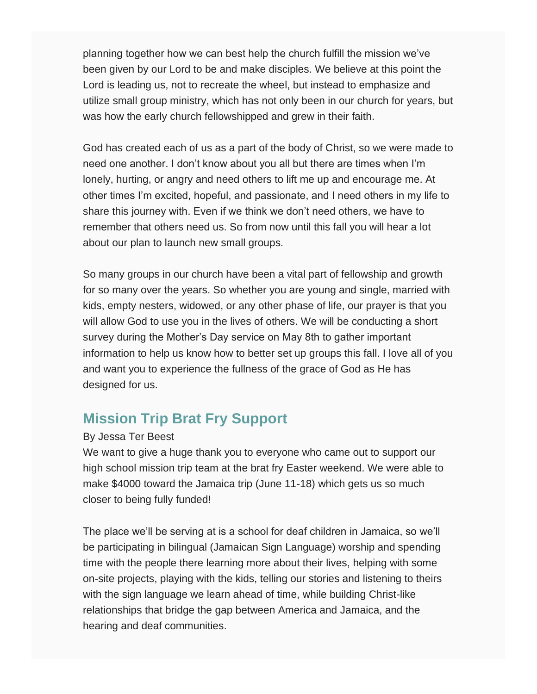planning together how we can best help the church fulfill the mission we've been given by our Lord to be and make disciples. We believe at this point the Lord is leading us, not to recreate the wheel, but instead to emphasize and utilize small group ministry, which has not only been in our church for years, but was how the early church fellowshipped and grew in their faith.

God has created each of us as a part of the body of Christ, so we were made to need one another. I don't know about you all but there are times when I'm lonely, hurting, or angry and need others to lift me up and encourage me. At other times I'm excited, hopeful, and passionate, and I need others in my life to share this journey with. Even if we think we don't need others, we have to remember that others need us. So from now until this fall you will hear a lot about our plan to launch new small groups.

So many groups in our church have been a vital part of fellowship and growth for so many over the years. So whether you are young and single, married with kids, empty nesters, widowed, or any other phase of life, our prayer is that you will allow God to use you in the lives of others. We will be conducting a short survey during the Mother's Day service on May 8th to gather important information to help us know how to better set up groups this fall. I love all of you and want you to experience the fullness of the grace of God as He has designed for us.

## **Mission Trip Brat Fry Support**

#### By Jessa Ter Beest

We want to give a huge thank you to everyone who came out to support our high school mission trip team at the brat fry Easter weekend. We were able to make \$4000 toward the Jamaica trip (June 11-18) which gets us so much closer to being fully funded!

The place we'll be serving at is a school for deaf children in Jamaica, so we'll be participating in bilingual (Jamaican Sign Language) worship and spending time with the people there learning more about their lives, helping with some on-site projects, playing with the kids, telling our stories and listening to theirs with the sign language we learn ahead of time, while building Christ-like relationships that bridge the gap between America and Jamaica, and the hearing and deaf communities.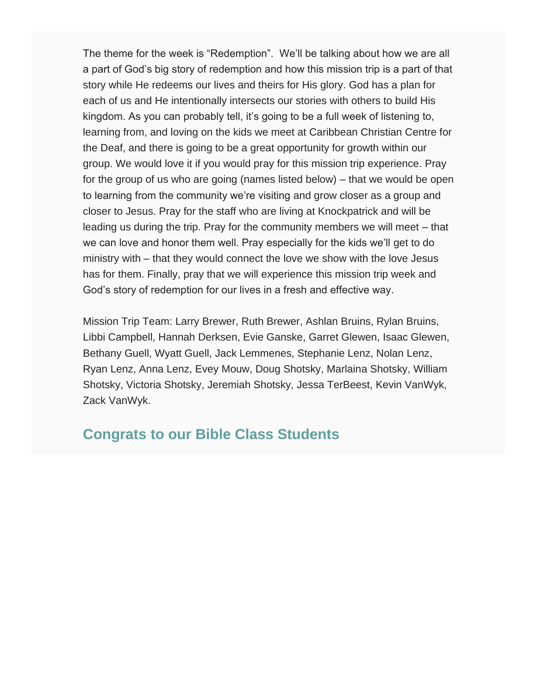The theme for the week is "Redemption". We'll be talking about how we are all a part of God's big story of redemption and how this mission trip is a part of that story while He redeems our lives and theirs for His glory. God has a plan for each of us and He intentionally intersects our stories with others to build His kingdom. As you can probably tell, it's going to be a full week of listening to, learning from, and loving on the kids we meet at Caribbean Christian Centre for the Deaf, and there is going to be a great opportunity for growth within our group. We would love it if you would pray for this mission trip experience. Pray for the group of us who are going (names listed below) – that we would be open to learning from the community we're visiting and grow closer as a group and closer to Jesus. Pray for the staff who are living at Knockpatrick and will be leading us during the trip. Pray for the community members we will meet – that we can love and honor them well. Pray especially for the kids we'll get to do ministry with – that they would connect the love we show with the love Jesus has for them. Finally, pray that we will experience this mission trip week and God's story of redemption for our lives in a fresh and effective way.

Mission Trip Team: Larry Brewer, Ruth Brewer, Ashlan Bruins, Rylan Bruins, Libbi Campbell, Hannah Derksen, Evie Ganske, Garret Glewen, Isaac Glewen, Bethany Guell, Wyatt Guell, Jack Lemmenes, Stephanie Lenz, Nolan Lenz, Ryan Lenz, Anna Lenz, Evey Mouw, Doug Shotsky, Marlaina Shotsky, William Shotsky, Victoria Shotsky, Jeremiah Shotsky, Jessa TerBeest, Kevin VanWyk, Zack VanWyk.

### **Congrats to our Bible Class Students**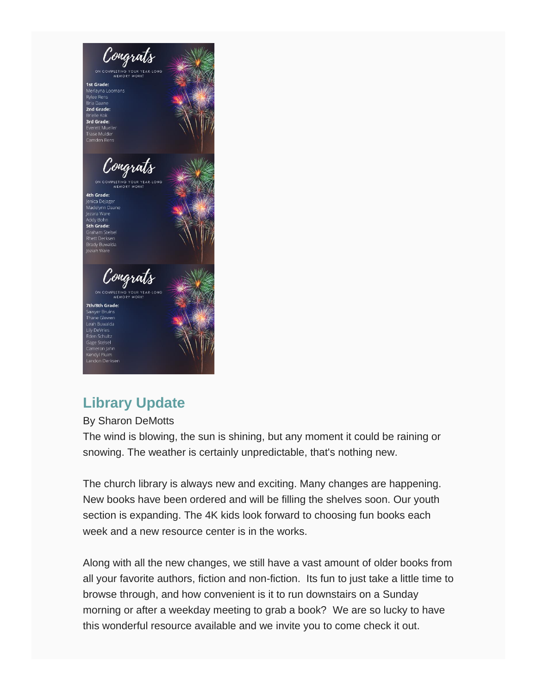

## **Library Update**

By Sharon DeMotts

The wind is blowing, the sun is shining, but any moment it could be raining or snowing. The weather is certainly unpredictable, that's nothing new.

The church library is always new and exciting. Many changes are happening. New books have been ordered and will be filling the shelves soon. Our youth section is expanding. The 4K kids look forward to choosing fun books each week and a new resource center is in the works.

Along with all the new changes, we still have a vast amount of older books from all your favorite authors, fiction and non-fiction. Its fun to just take a little time to browse through, and how convenient is it to run downstairs on a Sunday morning or after a weekday meeting to grab a book? We are so lucky to have this wonderful resource available and we invite you to come check it out.